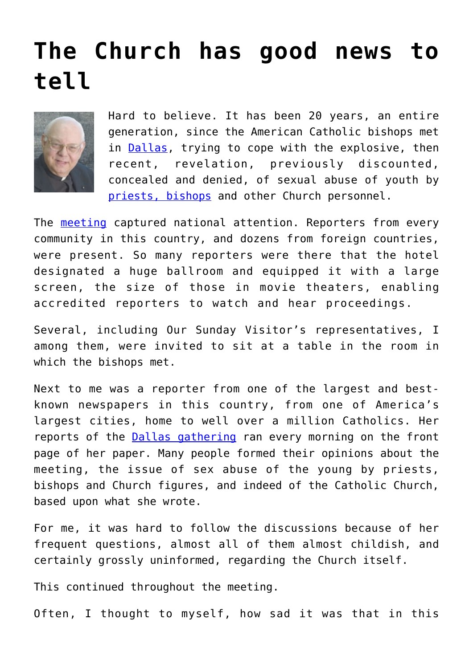## **[The Church has good news to](https://www.osvnews.com/2022/06/21/the-church-has-good-news-to-tell/) [tell](https://www.osvnews.com/2022/06/21/the-church-has-good-news-to-tell/)**



Hard to believe. It has been 20 years, an entire generation, since the American Catholic bishops met in **Dallas**, trying to cope with the explosive, then recent, revelation, previously discounted, concealed and denied, of sexual abuse of youth by [priests, bishops](https://www.osvnews.com/2022/06/16/as-charter-turns-20-trust-in-bishops-is-slow-to-return-cardinal-says/) and other Church personnel.

The [meeting](https://www.osvnews.com/2022/06/10/the-dallas-charter-20-years-later-part-2-procedures-have-been-implemented-but-the-church-is-not-finished/) captured national attention. Reporters from every community in this country, and dozens from foreign countries, were present. So many reporters were there that the hotel designated a huge ballroom and equipped it with a large screen, the size of those in movie theaters, enabling accredited reporters to watch and hear proceedings.

Several, including Our Sunday Visitor's representatives, I among them, were invited to sit at a table in the room in which the bishops met.

Next to me was a reporter from one of the largest and bestknown newspapers in this country, from one of America's largest cities, home to well over a million Catholics. Her reports of the [Dallas gathering](https://www.osvnews.com/2022/05/24/editorial-the-dallas-charter-is-succeeding-but-there-is-more-work-to-be-done/) ran every morning on the front page of her paper. Many people formed their opinions about the meeting, the issue of sex abuse of the young by priests, bishops and Church figures, and indeed of the Catholic Church, based upon what she wrote.

For me, it was hard to follow the discussions because of her frequent questions, almost all of them almost childish, and certainly grossly uninformed, regarding the Church itself.

This continued throughout the meeting.

Often, I thought to myself, how sad it was that in this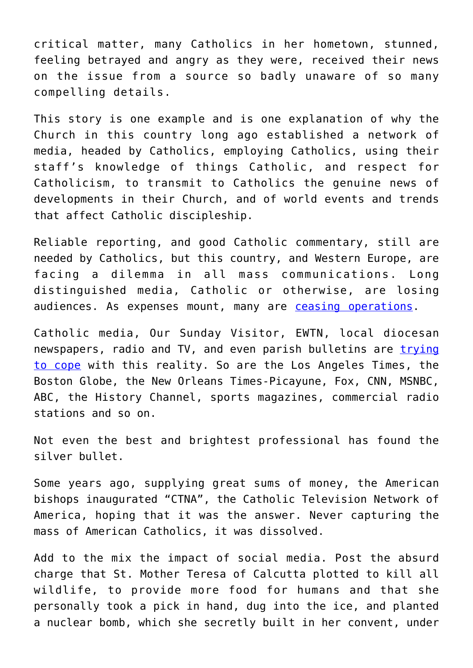critical matter, many Catholics in her hometown, stunned, feeling betrayed and angry as they were, received their news on the issue from a source so badly unaware of so many compelling details.

This story is one example and is one explanation of why the Church in this country long ago established a network of media, headed by Catholics, employing Catholics, using their staff's knowledge of things Catholic, and respect for Catholicism, to transmit to Catholics the genuine news of developments in their Church, and of world events and trends that affect Catholic discipleship.

Reliable reporting, and good Catholic commentary, still are needed by Catholics, but this country, and Western Europe, are facing a dilemma in all mass communications. Long distinguished media, Catholic or otherwise, are losing audiences. As expenses mount, many are [ceasing operations.](https://www.osvnews.com/2022/05/04/catholic-news-service-to-cease-domestic-operations-at-years-end/)

Catholic media, Our Sunday Visitor, EWTN, local diocesan newspapers, radio and TV, and even parish bulletins are [trying](https://www.osvnews.com/2022/05/06/editorial-the-closing-of-cns-is-a-sign-and-product-of-our-times/) [to cope](https://www.osvnews.com/2022/05/06/editorial-the-closing-of-cns-is-a-sign-and-product-of-our-times/) with this reality. So are the Los Angeles Times, the Boston Globe, the New Orleans Times-Picayune, Fox, CNN, MSNBC, ABC, the History Channel, sports magazines, commercial radio stations and so on.

Not even the best and brightest professional has found the silver bullet.

Some years ago, supplying great sums of money, the American bishops inaugurated "CTNA", the Catholic Television Network of America, hoping that it was the answer. Never capturing the mass of American Catholics, it was dissolved.

Add to the mix the impact of social media. Post the absurd charge that St. Mother Teresa of Calcutta plotted to kill all wildlife, to provide more food for humans and that she personally took a pick in hand, dug into the ice, and planted a nuclear bomb, which she secretly built in her convent, under